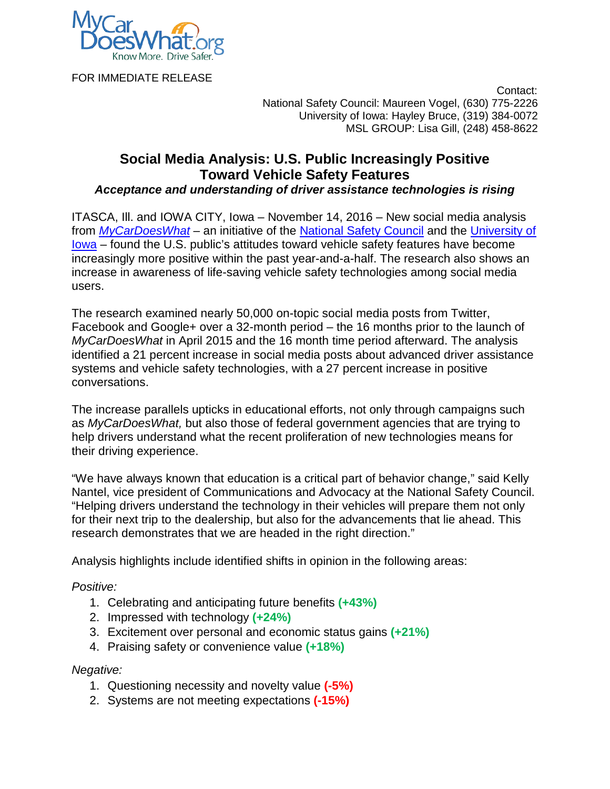

FOR IMMEDIATE RELEASE

 Contact: National Safety Council: Maureen Vogel, (630) 775-2226 University of Iowa: Hayley Bruce, (319) 384-0072 MSL GROUP: Lisa Gill, (248) 458-8622

# **Social Media Analysis: U.S. Public Increasingly Positive Toward Vehicle Safety Features**

*Acceptance and understanding of driver assistance technologies is rising*

ITASCA, Ill. and IOWA CITY, Iowa – November 14, 2016 – New social media analysis from *[MyCarDoesWhat](https://mycardoeswhat.org/) –* an initiative of the [National Safety Council](http://www.nsc.org/pages/home.aspx) and the [University of](http://www.public-health.uiowa.edu/iprc/research/center-expert-research-teams/road-traffic-safety/)  [Iowa](http://www.public-health.uiowa.edu/iprc/research/center-expert-research-teams/road-traffic-safety/) – found the U.S. public's attitudes toward vehicle safety features have become increasingly more positive within the past year-and-a-half. The research also shows an increase in awareness of life-saving vehicle safety technologies among social media users.

The research examined nearly 50,000 on-topic social media posts from Twitter, Facebook and Google+ over a 32-month period – the 16 months prior to the launch of *MyCarDoesWhat* in April 2015 and the 16 month time period afterward. The analysis identified a 21 percent increase in social media posts about advanced driver assistance systems and vehicle safety technologies, with a 27 percent increase in positive conversations.

The increase parallels upticks in educational efforts, not only through campaigns such as *MyCarDoesWhat,* but also those of federal government agencies that are trying to help drivers understand what the recent proliferation of new technologies means for their driving experience.

"We have always known that education is a critical part of behavior change," said Kelly Nantel, vice president of Communications and Advocacy at the National Safety Council. "Helping drivers understand the technology in their vehicles will prepare them not only for their next trip to the dealership, but also for the advancements that lie ahead. This research demonstrates that we are headed in the right direction."

Analysis highlights include identified shifts in opinion in the following areas:

# *Positive:*

- 1. Celebrating and anticipating future benefits **(+43%)**
- 2. Impressed with technology **(+24%)**
- 3. Excitement over personal and economic status gains **(+21%)**
- 4. Praising safety or convenience value **(+18%)**

# *Negative:*

- 1. Questioning necessity and novelty value **(-5%)**
- 2. Systems are not meeting expectations **(-15%)**